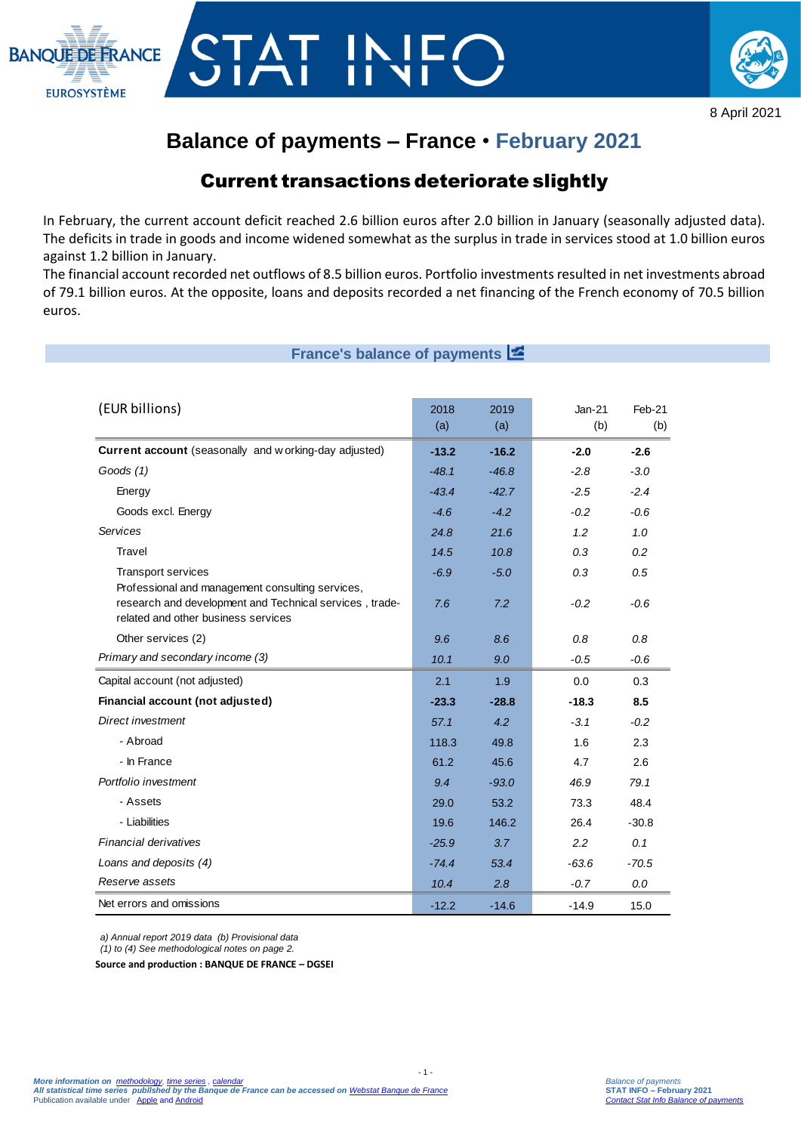



8 April 2021

## **Balance of payments – France** • **February 2021**

### Current transactions deteriorate slightly

In February, the current account deficit reached 2.6 billion euros after 2.0 billion in January (seasonally adjusted data). The deficits in trade in goods and income widened somewhat as the surplus in trade in services stood at 1.0 billion euros against 1.2 billion in January.

The financial account recorded net outflows of 8.5 billion euros. Portfolio investments resulted in net investments abroad of 79.1 billion euros. At the opposite, loans and deposits recorded a net financing of the French economy of 70.5 billion euros.

### **France's balance of payments**

| (EUR billions)                                                                                                                                     | 2018<br>(a) | 2019<br>(a) | $Jan-21$<br>(b) | Feb-21<br>(b) |
|----------------------------------------------------------------------------------------------------------------------------------------------------|-------------|-------------|-----------------|---------------|
| Current account (seasonally and w orking-day adjusted)                                                                                             | $-13.2$     | $-16.2$     | $-2.0$          | $-2.6$        |
| Goods (1)                                                                                                                                          | $-48.1$     | $-46.8$     | $-2.8$          | $-3.0$        |
| Energy                                                                                                                                             | $-43.4$     | $-42.7$     | $-2.5$          | $-2.4$        |
| Goods excl. Energy                                                                                                                                 | $-4.6$      | $-4.2$      | $-0.2$          | $-0.6$        |
| Services                                                                                                                                           | 24.8        | 21.6        | 1.2             | 1.0           |
| Travel                                                                                                                                             | 14.5        | 10.8        | 0.3             | 0.2           |
| <b>Transport services</b>                                                                                                                          | $-6.9$      | $-5.0$      | 0.3             | 0.5           |
| Professional and management consulting services,<br>research and development and Technical services, trade-<br>related and other business services | 7.6         | 7.2         | $-0.2$          | $-0.6$        |
| Other services (2)                                                                                                                                 | 9.6         | 8.6         | 0.8             | 0.8           |
| Primary and secondary income (3)                                                                                                                   | 10.1        | 9.0         | $-0.5$          | $-0.6$        |
| Capital account (not adjusted)                                                                                                                     | 2.1         | 1.9         | 0.0             | 0.3           |
| Financial account (not adjusted)                                                                                                                   | $-23.3$     | $-28.8$     | $-18.3$         | 8.5           |
| Direct investment                                                                                                                                  | 57.1        | 4.2         | $-3.1$          | $-0.2$        |
| - Abroad                                                                                                                                           | 118.3       | 49.8        | 1.6             | 2.3           |
| - In France                                                                                                                                        | 61.2        | 45.6        | 4.7             | 2.6           |
| Portfolio investment                                                                                                                               | 9.4         | $-93.0$     | 46.9            | 79.1          |
| - Assets                                                                                                                                           | 29.0        | 53.2        | 73.3            | 48.4          |
| - Liabilities                                                                                                                                      | 19.6        | 146.2       | 26.4            | $-30.8$       |
| Financial derivatives                                                                                                                              | $-25.9$     | 3.7         | 2.2             | 0.1           |
| Loans and deposits (4)                                                                                                                             | $-74.4$     | 53.4        | $-63.6$         | $-70.5$       |
| Reserve assets                                                                                                                                     | 10.4        | 2.8         | $-0.7$          | 0.0           |
| Net errors and omissions                                                                                                                           | $-12.2$     | $-14.6$     | $-14.9$         | 15.0          |

- 1 -

*a) Annual report 2019 data (b) Provisional data*

*(1) to (4) See methodological notes on page 2.*

**Source and production : BANQUE DE FRANCE – DGSEI**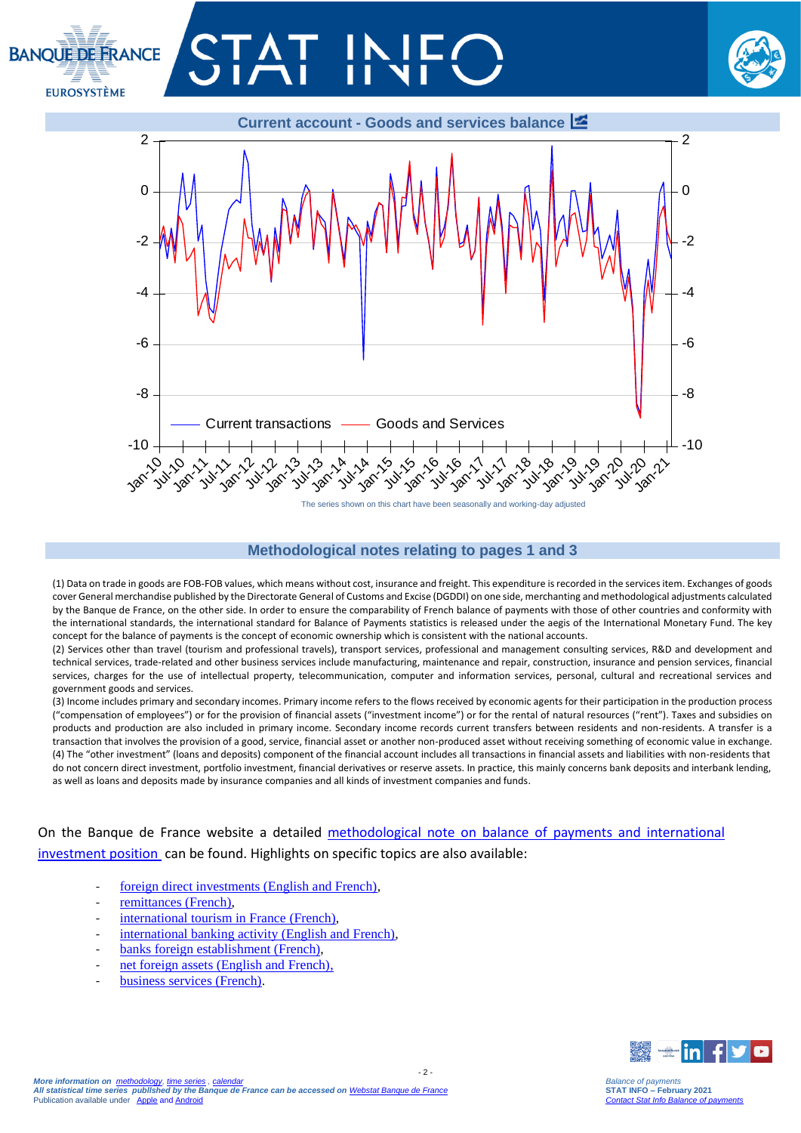# **BANOUE DE ERANCE EUROSYSTÈME**





### **Methodological notes relating to pages 1 and 3**

(1) Data on trade in goods are FOB-FOB values, which means without cost, insurance and freight. This expenditure is recorded in the services item. Exchanges of goods cover General merchandise published by the Directorate General of Customs and Excise (DGDDI) on one side, merchanting and methodological adjustments calculated by the Banque de France, on the other side. In order to ensure the comparability of French balance of payments with those of other countries and conformity with the international standards, the international standard for Balance of Payments statistics is released under the aegis of the International Monetary Fund. The key concept for the balance of payments is the concept of economic ownership which is consistent with the national accounts.

(2) Services other than travel (tourism and professional travels), transport services, professional and management consulting services, R&D and development and technical services, trade-related and other business services include manufacturing, maintenance and repair, construction, insurance and pension services, financial services, charges for the use of intellectual property, telecommunication, computer and information services, personal, cultural and recreational services and government goods and services.

(3) Income includes primary and secondary incomes. Primary income refers to the flows received by economic agents for their participation in the production process ("compensation of employees") or for the provision of financial assets ("investment income") or for the rental of natural resources ("rent"). Taxes and subsidies on products and production are also included in primary income. Secondary income records current transfers between residents and non-residents. A transfer is a transaction that involves the provision of a good, service, financial asset or another non-produced asset without receiving something of economic value in exchange. (4) The "other investment" (loans and deposits) component of the financial account includes all transactions in financial assets and liabilities with non-residents that do not concern direct investment, portfolio investment, financial derivatives or reserve assets. In practice, this mainly concerns bank deposits and interbank lending, as well as loans and deposits made by insurance companies and all kinds of investment companies and funds.

 $-2$ 

On the Banque de France website a detailed [methodological note on balance of payments and international](https://www.banque-france.fr/sites/default/files/media/2016/11/16/bdp-gb-methodologie.pdf)  [investment position](https://www.banque-france.fr/sites/default/files/media/2016/11/16/bdp-gb-methodologie.pdf) can be found. Highlights on specific topics are also available:

- [foreign direct investments \(English and French\),](https://www.banque-france.fr/en/statistics/balance-payments/foreign-direct-investment)
- [remittances \(French\),](https://www.banque-france.fr/statistiques/balance-des-paiements/la-remuneration-des-salaries-et-les-envois-de-fonds-des-travailleurs)
- [international tourism in France](https://www.banque-france.fr/statistiques/balance-des-paiements/les-services-de-voyages) (French),
- [international banking activity \(English and French\),](https://www.banque-france.fr/en/statistics/balance-payments/international-banking-activity)
- banks foreign [establishment \(French\),](https://www.banque-france.fr/statistiques/balance-des-paiements/les-implantations-bancaires-letranger)
- [net foreign assets \(English and French\),](https://www.banque-france.fr/en/statistics/balance-payments/net-foreign-assets)
- [business services \(French\).](https://www.banque-france.fr/statistiques/balance-des-paiements-et-statistiques-bancaires-internationales/services-hors-voyages/les-services-aux-entreprises)